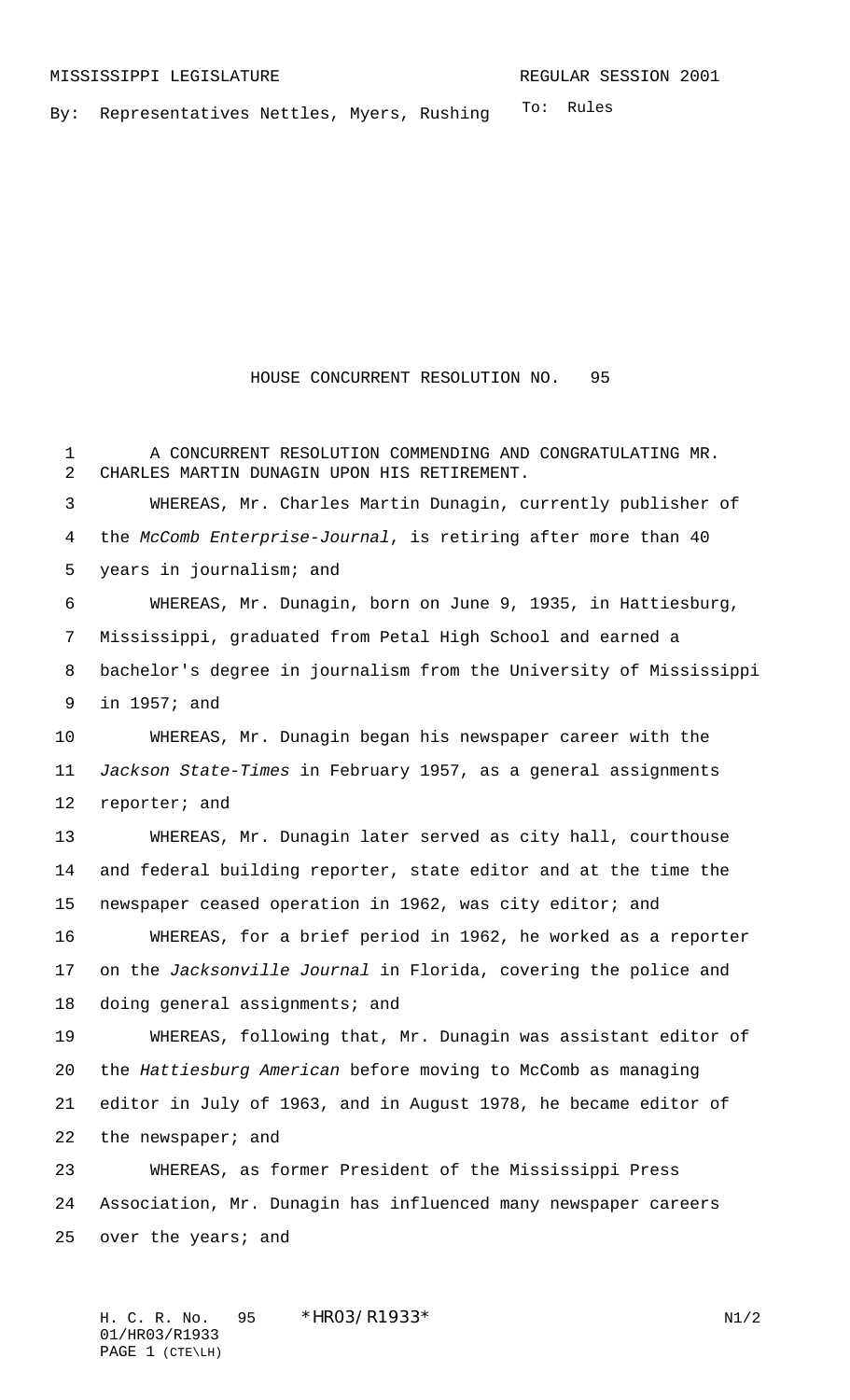To: Rules By: Representatives Nettles, Myers, Rushing

HOUSE CONCURRENT RESOLUTION NO. 95

 A CONCURRENT RESOLUTION COMMENDING AND CONGRATULATING MR. CHARLES MARTIN DUNAGIN UPON HIS RETIREMENT. WHEREAS, Mr. Charles Martin Dunagin, currently publisher of the McComb Enterprise-Journal, is retiring after more than 40 years in journalism; and WHEREAS, Mr. Dunagin, born on June 9, 1935, in Hattiesburg, Mississippi, graduated from Petal High School and earned a bachelor's degree in journalism from the University of Mississippi in 1957; and WHEREAS, Mr. Dunagin began his newspaper career with the Jackson State-Times in February 1957, as a general assignments 12 reporter; and WHEREAS, Mr. Dunagin later served as city hall, courthouse and federal building reporter, state editor and at the time the newspaper ceased operation in 1962, was city editor; and WHEREAS, for a brief period in 1962, he worked as a reporter on the Jacksonville Journal in Florida, covering the police and doing general assignments; and WHEREAS, following that, Mr. Dunagin was assistant editor of the Hattiesburg American before moving to McComb as managing editor in July of 1963, and in August 1978, he became editor of 22 the newspaper; and WHEREAS, as former President of the Mississippi Press Association, Mr. Dunagin has influenced many newspaper careers over the years; and